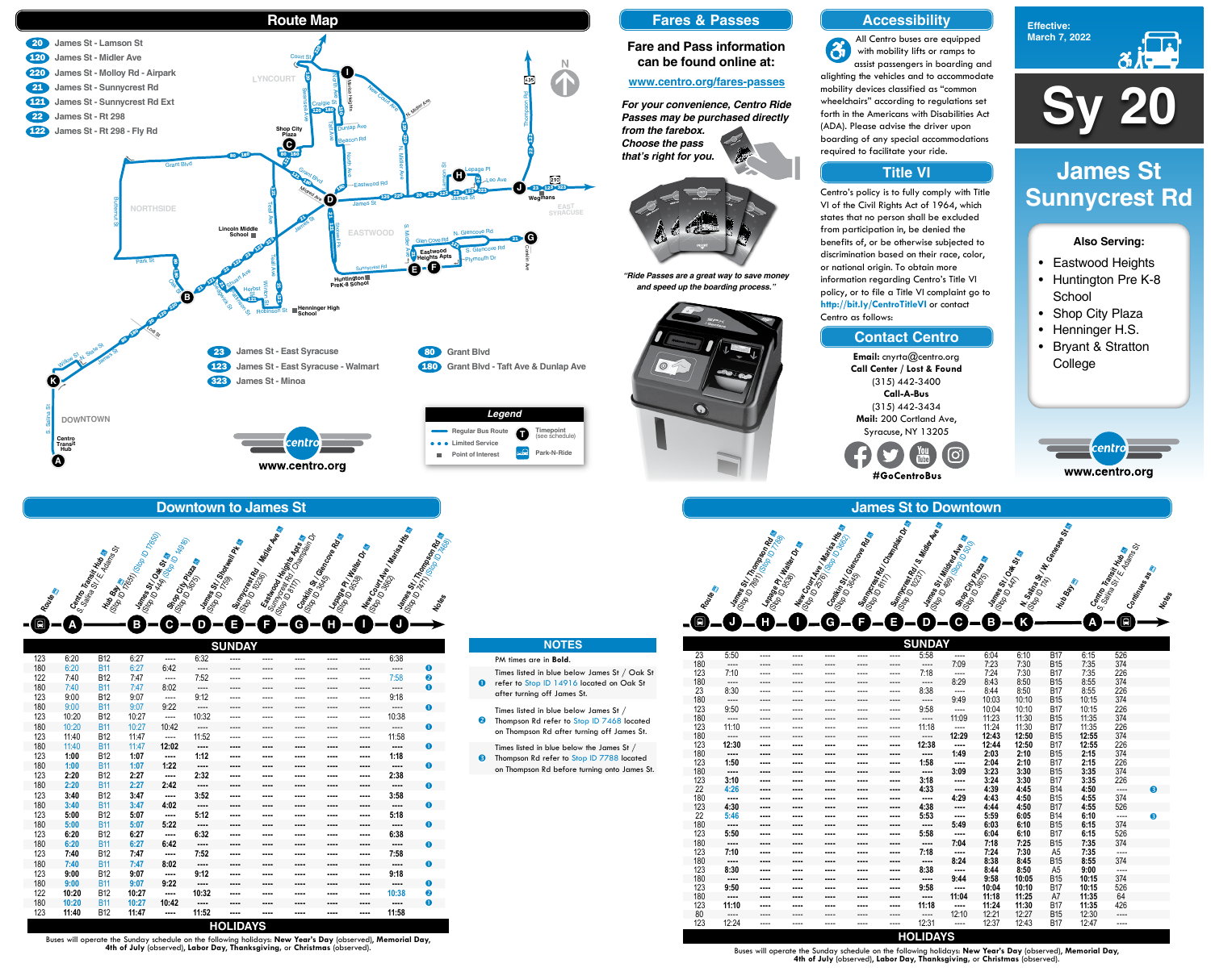

# **Effective: March 7, 2022**

- Eastwood Heights
- Huntington Pre K-8 **School**
- Shop City Plaza
- Henninger H.S.
- Bryant & Stratton **College**



# **Also Serving:**

# **James St Sunnycrest Rd**

|     |           |           |          |      |           |           | <b>SUNDAY</b> |          |       |       |                |       |           |   |
|-----|-----------|-----------|----------|------|-----------|-----------|---------------|----------|-------|-------|----------------|-------|-----------|---|
| 23  | 5:50      | $---$     | ----     | ---- | ----      | $---$     | 5:58          | $\cdots$ | 6:04  | 6:10  | <b>B17</b>     | 6:15  | 526       |   |
| 180 | $---$     | ----      | ----     | ---- | ----      | ----      | $- - - -$     | 7:09     | 7:23  | 7:30  | <b>B15</b>     | 7:35  | 374       |   |
| 123 | 7:10      | $- - - -$ | $\cdots$ | ---- | $- - - -$ | ----      | 7:18          | $\cdots$ | 7:24  | 7:30  | <b>B17</b>     | 7:35  | 226       |   |
| 180 | ----      | ----      | ----     | ---- | ----      | ----      | $---$         | 8:29     | 8:43  | 8:50  | <b>B15</b>     | 8:55  | 374       |   |
| 23  | 8:30      | $---$     | $---$    | ---- | $\cdots$  | $---$     | 8:38          | $\cdots$ | 8:44  | 8:50  | <b>B17</b>     | 8:55  | 226       |   |
| 180 | $- - - -$ | ----      | ----     | ---- | $- - - -$ | $- - - -$ | $- - - -$     | 9:49     | 10:03 | 10:10 | <b>B15</b>     | 10:15 | 374       |   |
| 123 | 9:50      | ----      | ----     | ---- | ----      | ----      | 9:58          | $\cdots$ | 10:04 | 10:10 | <b>B17</b>     | 10:15 | 226       |   |
| 180 | ----      | ----      | ----     | ---- | ----      | ----      | $---$         | 11:09    | 11:23 | 11:30 | <b>B15</b>     | 11:35 | 374       |   |
| 123 | 11:10     | ----      | ----     | ---- | ----      | $- - - -$ | 11:18         | $\cdots$ | 11:24 | 11:30 | <b>B17</b>     | 11:35 | 226       |   |
| 180 | $---$     | ----      | ----     | ---- | ----      | ----      | $\cdots$      | 12:29    | 12:43 | 12:50 | <b>B15</b>     | 12:55 | 374       |   |
| 123 | 12:30     |           | ----     | ---- | ----      | ----      | 12:38         |          | 12:44 | 12:50 | <b>B17</b>     | 12:55 | 226       |   |
| 180 | ----      | ----      | ----     | ---- | ----      | ----      | ----          | 1:49     | 2:03  | 2:10  | <b>B15</b>     | 2:15  | 374       |   |
| 123 | 1:50      | ----      | ----     | ---- | ----      | ----      | 1:58          |          | 2:04  | 2:10  | <b>B17</b>     | 2:15  | 226       |   |
| 180 | ----      | ----      | $\cdots$ | ---- | ----      | ----      | ----          | 3:09     | 3:23  | 3:30  | <b>B15</b>     | 3:35  | 374       |   |
| 123 | 3:10      | ----      | ----     | ---- | ----      | ----      | 3:18          | $\cdots$ | 3:24  | 3:30  | <b>B17</b>     | 3:35  | 226       |   |
| 22  | 4:26      | ----      | $\cdots$ | ---- | ----      | ----      | 4.33          | $\cdots$ | 4:39  | 4.45  | <b>B14</b>     | 4:50  | $---$     | 8 |
| 180 | ----      | ----      | $\cdots$ | ---- | ----      | ----      | ----          | 4:29     | 4.43  | 4:50  | <b>B15</b>     | 4.55  | 374       |   |
| 123 | 4:30      |           | ----     |      | ----      | ----      | 4:38          | $\cdots$ | 4.44  | 4:50  | <b>B17</b>     | 4:55  | 526       |   |
| 22  | 5:46      |           | ----     | ---- | ----      |           | 5:53          |          | 5:59  | 6:05  | <b>B14</b>     | 6:10  | ----      | 6 |
| 180 | ----      | ----      | $\cdots$ |      | ----      | ----      | ----          | 5.49     | 6:03  | 6:10  | <b>B15</b>     | 6:15  | 374       |   |
| 123 | 5:50      | ----      | ----     |      | ----      | ----      | 5:58          | $\cdots$ | 6:04  | 6:10  | <b>B17</b>     | 6:15  | 526       |   |
| 180 | ----      |           | ----     |      | ----      | ----      | ----          | 7:04     | 7:18  | 7:25  | <b>B15</b>     | 7:35  | 374       |   |
| 123 | 7:10      | ----      | $\cdots$ |      | ----      | ----      | 7:18          | $\cdots$ | 7:24  | 7:30  | A <sub>5</sub> | 7:35  | ----      |   |
| 180 | ----      | ----      | $\cdots$ |      | ----      | ----      | ----          | 8:24     | 8:38  | 8:45  | <b>B15</b>     | 8:55  | 374       |   |
| 123 | 8:30      | ----      | $\cdots$ |      | ----      | ----      | 8:38          | $\cdots$ | 8:44  | 8:50  | A <sub>5</sub> | 9:00  | $- - - -$ |   |
| 180 | ----      |           | ----     |      | ----      | ----      | ----          | 9:44     | 9:58  | 10:05 | <b>B15</b>     | 10:15 | 374       |   |
| 123 | 9:50      | ----      | ----     | ---- | ----      | ----      | 9:58          | $\cdots$ | 10:04 | 10:10 | <b>B17</b>     | 10:15 | 526       |   |
| 180 | ----      | ----      | $\cdots$ | ---- |           | ----      | ----          | 11:04    | 11:18 | 11:25 | A7             | 11:35 | 64        |   |
| 123 | 11:10     | ----      | ----     | ---- | ----      | ----      | 11:18         | $\cdots$ | 11:24 | 11:30 | <b>B17</b>     | 11:35 | 426       |   |
| 80  | ----      | ----      | ----     | ---- | ----      | ----      | $---$         | 12:10    | 12:21 | 12:27 | <b>B15</b>     | 12:30 | ----      |   |
| 123 | 12:24     | ----      | ----     | ---- | ----      | ----      | 12:31         | ----     | 12:37 | 12:43 | <b>B17</b>     | 12:47 | ----      |   |

## **James St to Downtown Mew Court Ave / King ID 3663**<br>Cop D 3561 **Ve / Marisa Hts**<br>Comiting Str / Glancove Rd 3663<br>Commons Suppone **Lames St. 7top ID 760**<br>Cop 10 7691 (Stop ID Rd Lepan Land<br>(Stop Bee Pl / Halley Rd <sup>Top)</sup><br>Me<sub>etan L</sub>epan **Sum<sub>press</sub> Ranger Avenue**<br>(Sop ID 123 **Ry 12, Middler Ave**<br>(Sop IS 31 , Letting Ave a **James St.**<br>(Stop IS St.) Oak St. B. **Shop City Plaza**<br>(Stop City Plaza )<br>- Shop Raza **James St Military Ave.**<br>(Stop ID 499) Military Ave.<br>Stop Of Liter ID 500 Ave.<br>(Stop City Br. **Hub Bay** N. Salina St. W.<br><sup>(Stop ID 174)</sup> V W. Genese<br><sup>Hub</sup> B., **Notes TO** ¿ **<sup>J</sup> <sup>H</sup> <sup>I</sup> <sup>G</sup> <sup>E</sup> <sup>D</sup> <sup>C</sup> <sup>B</sup> <sup>K</sup>** Centro Transit Hub a<br><sup>Calina St</sub> Rit Hub as<br>Continues as as</sup> **A Summcrest Rd <sup>Tee</sup>Rd &<br>(Stop ID 8117) Rd Champion Champion Champion Champion Champion Champion Champion Champion Champion Champion Ch<br>(Stop Inclusion completed) Champion Champion Champion Champion Champion Champion Champi F** ¿

## **HOLIDAYS**

Buses will operate the Sunday schedule on the following holidays: **New Year's Day** (observed), **Memorial Day**, **4th of July** (observed), **Labor Day**, **Thanksgiving,** or **Christmas** (observed).

Buses will operate the Sunday schedule on the following holidays: **New Year's Day** (observed), **Memorial Day**, **4th of July** (observed), **Labor Day**, **Thanksgiving,** or **Christmas** (observed).





**kity** 

# **Accessibility**

## **Contact Centro**

# **Title VI**

All Centro buses are equipped  $\mathbf{\hat{a}}$ with mobility lifts or ramps to assist passengers in boarding and alighting the vehicles and to accommodate mobility devices classified as "common wheelchairs" according to regulations set forth in the Americans with Disabilities Act (ADA). Please advise the driver upon boarding of any special accommodations required to facilitate your ride.



Centro's policy is to fully comply with Title VI of the Civil Rights Act of 1964, which states that no person shall be excluded from participation in, be denied the benefits of, or be otherwise subjected to discrimination based on their race, color, or national origin. To obtain more information regarding Centro's Title VI policy, or to file a Title VI complaint go to **http://bit.ly/CentroTitleVI** or contact Centro as follows:

> **Email:** cnyrta@centro.org **Call Center / Lost & Found** (315) 442-3400 **Call-A-Bus** (315) 442-3434 **Mail:** 200 Cortland Ave, Syracuse, NY 13205